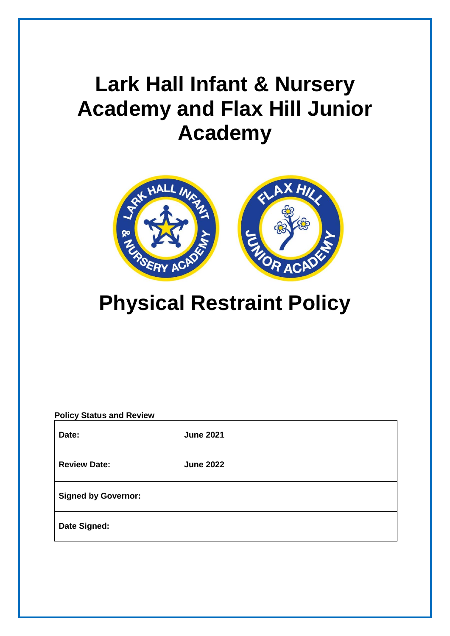# **Lark Hall Infant & Nursery Academy and Flax Hill Junior Academy**



# **Physical Restraint Policy**

| <b>Policy Status and Review</b> |                  |  |
|---------------------------------|------------------|--|
| Date:                           | <b>June 2021</b> |  |
| <b>Review Date:</b>             | <b>June 2022</b> |  |
| <b>Signed by Governor:</b>      |                  |  |
| Date Signed:                    |                  |  |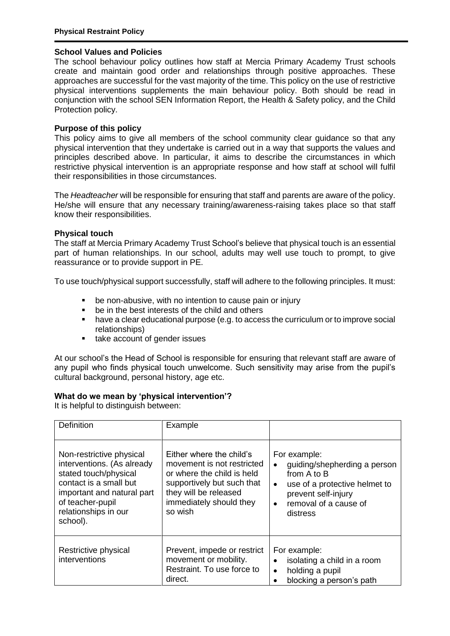#### **School Values and Policies**

The school behaviour policy outlines how staff at Mercia Primary Academy Trust schools create and maintain good order and relationships through positive approaches. These approaches are successful for the vast majority of the time. This policy on the use of restrictive physical interventions supplements the main behaviour policy. Both should be read in conjunction with the school SEN Information Report, the Health & Safety policy, and the Child Protection policy.

# **Purpose of this policy**

This policy aims to give all members of the school community clear guidance so that any physical intervention that they undertake is carried out in a way that supports the values and principles described above. In particular, it aims to describe the circumstances in which restrictive physical intervention is an appropriate response and how staff at school will fulfil their responsibilities in those circumstances.

The *Headteacher* will be responsible for ensuring that staff and parents are aware of the policy. He/she will ensure that any necessary training/awareness-raising takes place so that staff know their responsibilities.

#### **Physical touch**

The staff at Mercia Primary Academy Trust School's believe that physical touch is an essential part of human relationships. In our school, adults may well use touch to prompt, to give reassurance or to provide support in PE.

To use touch/physical support successfully, staff will adhere to the following principles. It must:

- be non-abusive, with no intention to cause pain or injury
- **•** be in the best interests of the child and others
- have a clear educational purpose (e.g. to access the curriculum or to improve social relationships)
- take account of gender issues

At our school's the Head of School is responsible for ensuring that relevant staff are aware of any pupil who finds physical touch unwelcome. Such sensitivity may arise from the pupil's cultural background, personal history, age etc.

#### **What do we mean by 'physical intervention'?**

It is helpful to distinguish between:

| <b>Definition</b>                                                                                                                                                                               | Example                                                                                                                                                                           |                                                                                                                                                                                                 |
|-------------------------------------------------------------------------------------------------------------------------------------------------------------------------------------------------|-----------------------------------------------------------------------------------------------------------------------------------------------------------------------------------|-------------------------------------------------------------------------------------------------------------------------------------------------------------------------------------------------|
| Non-restrictive physical<br>interventions. (As already<br>stated touch/physical<br>contact is a small but<br>important and natural part<br>of teacher-pupil<br>relationships in our<br>school). | Either where the child's<br>movement is not restricted<br>or where the child is held<br>supportively but such that<br>they will be released<br>immediately should they<br>so wish | For example:<br>guiding/shepherding a person<br>$\bullet$<br>from A to B<br>use of a protective helmet to<br>$\bullet$<br>prevent self-injury<br>removal of a cause of<br>$\bullet$<br>distress |
| Restrictive physical<br>interventions                                                                                                                                                           | Prevent, impede or restrict<br>movement or mobility.<br>Restraint. To use force to<br>direct.                                                                                     | For example:<br>isolating a child in a room<br>$\bullet$<br>holding a pupil<br>$\bullet$<br>blocking a person's path                                                                            |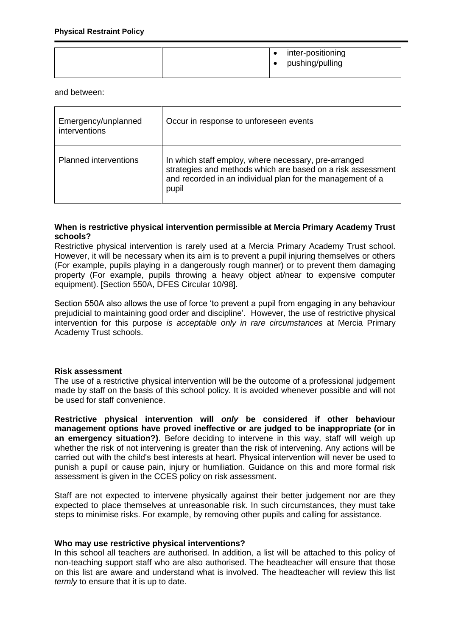|  |  | $\bullet$ | inter-positioning<br>• pushing/pulling |
|--|--|-----------|----------------------------------------|
|--|--|-----------|----------------------------------------|

and between:

| Emergency/unplanned<br>interventions | Occur in response to unforeseen events                                                                                                                                                     |
|--------------------------------------|--------------------------------------------------------------------------------------------------------------------------------------------------------------------------------------------|
| <b>Planned interventions</b>         | In which staff employ, where necessary, pre-arranged<br>strategies and methods which are based on a risk assessment<br>and recorded in an individual plan for the management of a<br>pupil |

#### **When is restrictive physical intervention permissible at Mercia Primary Academy Trust schools?**

Restrictive physical intervention is rarely used at a Mercia Primary Academy Trust school. However, it will be necessary when its aim is to prevent a pupil injuring themselves or others (For example, pupils playing in a dangerously rough manner) or to prevent them damaging property (For example, pupils throwing a heavy object at/near to expensive computer equipment). [Section 550A, DFES Circular 10/98].

Section 550A also allows the use of force 'to prevent a pupil from engaging in any behaviour prejudicial to maintaining good order and discipline'. However, the use of restrictive physical intervention for this purpose *is acceptable only in rare circumstances* at Mercia Primary Academy Trust schools.

# **Risk assessment**

The use of a restrictive physical intervention will be the outcome of a professional judgement made by staff on the basis of this school policy. It is avoided whenever possible and will not be used for staff convenience.

**Restrictive physical intervention will** *only* **be considered if other behaviour management options have proved ineffective or are judged to be inappropriate (or in an emergency situation?)**. Before deciding to intervene in this way, staff will weigh up whether the risk of not intervening is greater than the risk of intervening. Any actions will be carried out with the child's best interests at heart. Physical intervention will never be used to punish a pupil or cause pain, injury or humiliation. Guidance on this and more formal risk assessment is given in the CCES policy on risk assessment.

Staff are not expected to intervene physically against their better judgement nor are they expected to place themselves at unreasonable risk. In such circumstances, they must take steps to minimise risks. For example, by removing other pupils and calling for assistance.

#### **Who may use restrictive physical interventions?**

In this school all teachers are authorised. In addition, a list will be attached to this policy of non-teaching support staff who are also authorised. The headteacher will ensure that those on this list are aware and understand what is involved. The headteacher will review this list *termly* to ensure that it is up to date.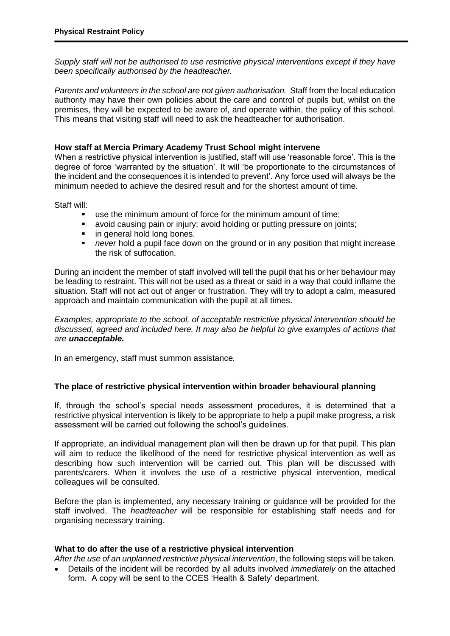*Supply staff will not be authorised to use restrictive physical interventions except if they have been specifically authorised by the headteacher.* 

*Parents and volunteers in the school are not given authorisation.* Staff from the local education authority may have their own policies about the care and control of pupils but, whilst on the premises, they will be expected to be aware of, and operate within, the policy of this school. This means that visiting staff will need to ask the headteacher for authorisation.

#### **How staff at Mercia Primary Academy Trust School might intervene**

When a restrictive physical intervention is justified, staff will use 'reasonable force'. This is the degree of force 'warranted by the situation'. It will 'be proportionate to the circumstances of the incident and the consequences it is intended to prevent'. Any force used will always be the minimum needed to achieve the desired result and for the shortest amount of time.

Staff will:

- use the minimum amount of force for the minimum amount of time;
- avoid causing pain or injury; avoid holding or putting pressure on joints;
- in general hold long bones.
- *never* hold a pupil face down on the ground or in any position that might increase the risk of suffocation.

During an incident the member of staff involved will tell the pupil that his or her behaviour may be leading to restraint. This will not be used as a threat or said in a way that could inflame the situation. Staff will not act out of anger or frustration. They will try to adopt a calm, measured approach and maintain communication with the pupil at all times.

*Examples, appropriate to the school, of acceptable restrictive physical intervention should be discussed, agreed and included here. It may also be helpful to give examples of actions that are unacceptable.*

In an emergency, staff must summon assistance*.* 

# **The place of restrictive physical intervention within broader behavioural planning**

If, through the school's special needs assessment procedures, it is determined that a restrictive physical intervention is likely to be appropriate to help a pupil make progress, a risk assessment will be carried out following the school's guidelines.

If appropriate, an individual management plan will then be drawn up for that pupil. This plan will aim to reduce the likelihood of the need for restrictive physical intervention as well as describing how such intervention will be carried out. This plan will be discussed with parents/carers. When it involves the use of a restrictive physical intervention, medical colleagues will be consulted.

Before the plan is implemented, any necessary training or guidance will be provided for the staff involved. The *headteacher* will be responsible for establishing staff needs and for organising necessary training.

#### **What to do after the use of a restrictive physical intervention**

*After the use of an unplanned restrictive physical intervention*, the following steps will be taken.

 Details of the incident will be recorded by all adults involved *immediately* on the attached form. A copy will be sent to the CCES 'Health & Safety' department.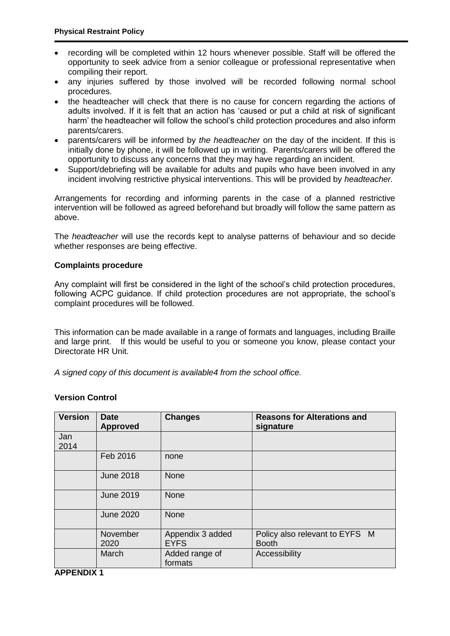- recording will be completed within 12 hours whenever possible. Staff will be offered the opportunity to seek advice from a senior colleague or professional representative when compiling their report.
- any injuries suffered by those involved will be recorded following normal school procedures.
- the headteacher will check that there is no cause for concern regarding the actions of adults involved. If it is felt that an action has 'caused or put a child at risk of significant harm' the headteacher will follow the school's child protection procedures and also inform parents/carers.
- parents/carers will be informed by *the headteacher* on the day of the incident. If this is initially done by phone, it will be followed up in writing. Parents/carers will be offered the opportunity to discuss any concerns that they may have regarding an incident.
- Support/debriefing will be available for adults and pupils who have been involved in any incident involving restrictive physical interventions. This will be provided by *headteacher.*

Arrangements for recording and informing parents in the case of a planned restrictive intervention will be followed as agreed beforehand but broadly will follow the same pattern as above.

The *headteacher* will use the records kept to analyse patterns of behaviour and so decide whether responses are being effective.

#### **Complaints procedure**

Any complaint will first be considered in the light of the school's child protection procedures, following ACPC guidance. If child protection procedures are not appropriate, the school's complaint procedures will be followed.

This information can be made available in a range of formats and languages, including Braille and large print. If this would be useful to you or someone you know, please contact your Directorate HR Unit.

*A signed copy of this document is available4 from the school office.*

#### **Version Control**

| <b>Version</b> | <b>Date</b><br><b>Approved</b> | <b>Changes</b>                  | <b>Reasons for Alterations and</b><br>signature |
|----------------|--------------------------------|---------------------------------|-------------------------------------------------|
| Jan<br>2014    |                                |                                 |                                                 |
|                | Feb 2016                       | none                            |                                                 |
|                | <b>June 2018</b>               | <b>None</b>                     |                                                 |
|                | <b>June 2019</b>               | <b>None</b>                     |                                                 |
|                | <b>June 2020</b>               | <b>None</b>                     |                                                 |
|                | November<br>2020               | Appendix 3 added<br><b>EYFS</b> | Policy also relevant to EYFS M<br><b>Booth</b>  |
|                | March                          | Added range of<br>formats       | Accessibility                                   |

**APPENDIX 1**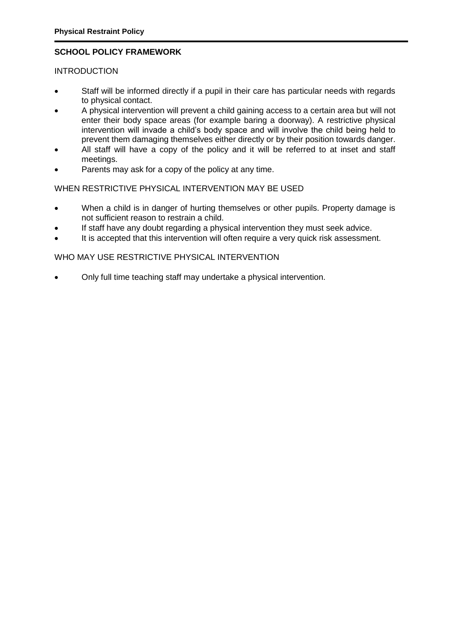# **SCHOOL POLICY FRAMEWORK**

## **INTRODUCTION**

- Staff will be informed directly if a pupil in their care has particular needs with regards to physical contact.
- A physical intervention will prevent a child gaining access to a certain area but will not enter their body space areas (for example baring a doorway). A restrictive physical intervention will invade a child's body space and will involve the child being held to prevent them damaging themselves either directly or by their position towards danger.
- All staff will have a copy of the policy and it will be referred to at inset and staff meetings.
- Parents may ask for a copy of the policy at any time.

#### WHEN RESTRICTIVE PHYSICAL INTERVENTION MAY BE USED

- When a child is in danger of hurting themselves or other pupils. Property damage is not sufficient reason to restrain a child.
- If staff have any doubt regarding a physical intervention they must seek advice.
- It is accepted that this intervention will often require a very quick risk assessment.

# WHO MAY USE RESTRICTIVE PHYSICAL INTERVENTION

Only full time teaching staff may undertake a physical intervention.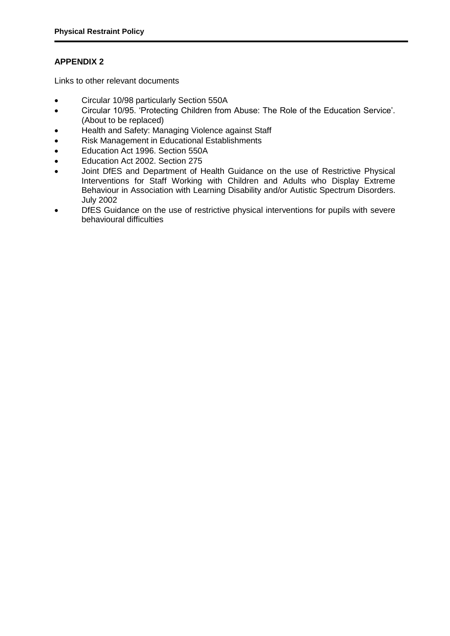# **APPENDIX 2**

Links to other relevant documents

- Circular 10/98 particularly Section 550A
- Circular 10/95. 'Protecting Children from Abuse: The Role of the Education Service'. (About to be replaced)
- Health and Safety: Managing Violence against Staff
- Risk Management in Educational Establishments
- Education Act 1996. Section 550A
- Education Act 2002. Section 275
- Joint DfES and Department of Health Guidance on the use of Restrictive Physical Interventions for Staff Working with Children and Adults who Display Extreme Behaviour in Association with Learning Disability and/or Autistic Spectrum Disorders. July 2002
- DIES Guidance on the use of restrictive physical interventions for pupils with severe behavioural difficulties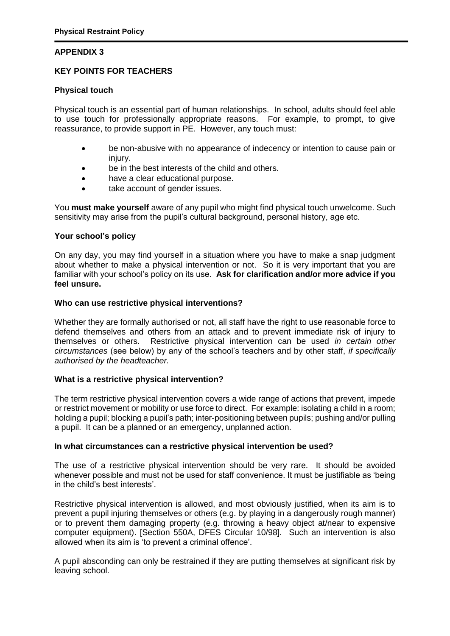# **APPENDIX 3**

# **KEY POINTS FOR TEACHERS**

#### **Physical touch**

Physical touch is an essential part of human relationships. In school, adults should feel able to use touch for professionally appropriate reasons. For example, to prompt, to give reassurance, to provide support in PE. However, any touch must:

- be non-abusive with no appearance of indecency or intention to cause pain or injury.
- be in the best interests of the child and others.
- have a clear educational purpose.
- take account of gender issues.

You **must make yourself** aware of any pupil who might find physical touch unwelcome. Such sensitivity may arise from the pupil's cultural background, personal history, age etc.

#### **Your school's policy**

On any day, you may find yourself in a situation where you have to make a snap judgment about whether to make a physical intervention or not. So it is very important that you are familiar with your school's policy on its use. **Ask for clarification and/or more advice if you feel unsure.** 

#### **Who can use restrictive physical interventions?**

Whether they are formally authorised or not, all staff have the right to use reasonable force to defend themselves and others from an attack and to prevent immediate risk of injury to themselves or others. Restrictive physical intervention can be used *in certain other circumstances* (see below) by any of the school's teachers and by other staff, *if specifically authorised by the headteacher.* 

#### **What is a restrictive physical intervention?**

The term restrictive physical intervention covers a wide range of actions that prevent, impede or restrict movement or mobility or use force to direct. For example: isolating a child in a room; holding a pupil; blocking a pupil's path; inter-positioning between pupils; pushing and/or pulling a pupil. It can be a planned or an emergency, unplanned action.

#### **In what circumstances can a restrictive physical intervention be used?**

The use of a restrictive physical intervention should be very rare. It should be avoided whenever possible and must not be used for staff convenience. It must be justifiable as 'being in the child's best interests'.

Restrictive physical intervention is allowed, and most obviously justified, when its aim is to prevent a pupil injuring themselves or others (e.g. by playing in a dangerously rough manner) or to prevent them damaging property (e.g. throwing a heavy object at/near to expensive computer equipment). [Section 550A, DFES Circular 10/98]. Such an intervention is also allowed when its aim is 'to prevent a criminal offence'.

A pupil absconding can only be restrained if they are putting themselves at significant risk by leaving school.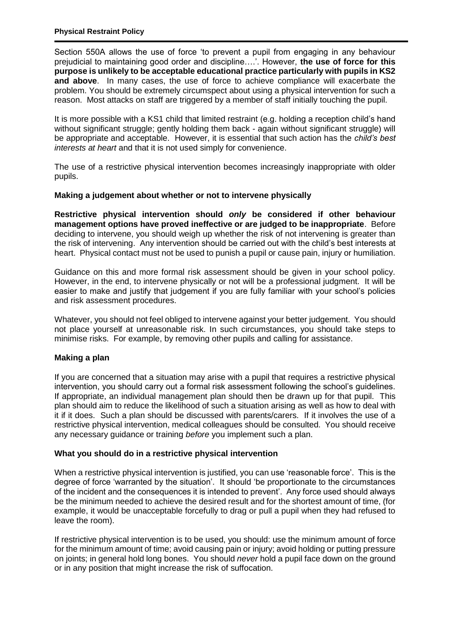Section 550A allows the use of force 'to prevent a pupil from engaging in any behaviour prejudicial to maintaining good order and discipline….'. However, **the use of force for this purpose is unlikely to be acceptable educational practice particularly with pupils in KS2 and above**. In many cases, the use of force to achieve compliance will exacerbate the problem. You should be extremely circumspect about using a physical intervention for such a reason. Most attacks on staff are triggered by a member of staff initially touching the pupil.

It is more possible with a KS1 child that limited restraint (e.g. holding a reception child's hand without significant struggle; gently holding them back - again without significant struggle) will be appropriate and acceptable. However, it is essential that such action has the *child's best interests at heart* and that it is not used simply for convenience.

The use of a restrictive physical intervention becomes increasingly inappropriate with older pupils.

# **Making a judgement about whether or not to intervene physically**

**Restrictive physical intervention should** *only* **be considered if other behaviour management options have proved ineffective or are judged to be inappropriate**. Before deciding to intervene, you should weigh up whether the risk of not intervening is greater than the risk of intervening. Any intervention should be carried out with the child's best interests at heart. Physical contact must not be used to punish a pupil or cause pain, injury or humiliation.

Guidance on this and more formal risk assessment should be given in your school policy. However, in the end, to intervene physically or not will be a professional judgment. It will be easier to make and justify that judgement if you are fully familiar with your school's policies and risk assessment procedures.

Whatever, you should not feel obliged to intervene against your better judgement. You should not place yourself at unreasonable risk. In such circumstances, you should take steps to minimise risks. For example, by removing other pupils and calling for assistance.

# **Making a plan**

If you are concerned that a situation may arise with a pupil that requires a restrictive physical intervention, you should carry out a formal risk assessment following the school's guidelines. If appropriate, an individual management plan should then be drawn up for that pupil. This plan should aim to reduce the likelihood of such a situation arising as well as how to deal with it if it does. Such a plan should be discussed with parents/carers. If it involves the use of a restrictive physical intervention, medical colleagues should be consulted. You should receive any necessary guidance or training *before* you implement such a plan.

# **What you should do in a restrictive physical intervention**

When a restrictive physical intervention is justified, you can use 'reasonable force'. This is the degree of force 'warranted by the situation'. It should 'be proportionate to the circumstances of the incident and the consequences it is intended to prevent'. Any force used should always be the minimum needed to achieve the desired result and for the shortest amount of time, (for example, it would be unacceptable forcefully to drag or pull a pupil when they had refused to leave the room).

If restrictive physical intervention is to be used, you should: use the minimum amount of force for the minimum amount of time; avoid causing pain or injury; avoid holding or putting pressure on joints; in general hold long bones. You should *never* hold a pupil face down on the ground or in any position that might increase the risk of suffocation.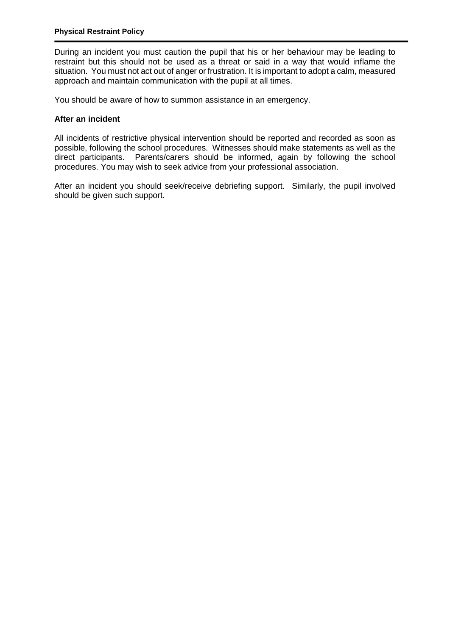During an incident you must caution the pupil that his or her behaviour may be leading to restraint but this should not be used as a threat or said in a way that would inflame the situation. You must not act out of anger or frustration. It is important to adopt a calm, measured approach and maintain communication with the pupil at all times.

You should be aware of how to summon assistance in an emergency.

# **After an incident**

All incidents of restrictive physical intervention should be reported and recorded as soon as possible, following the school procedures. Witnesses should make statements as well as the direct participants. Parents/carers should be informed, again by following the school procedures. You may wish to seek advice from your professional association.

After an incident you should seek/receive debriefing support. Similarly, the pupil involved should be given such support.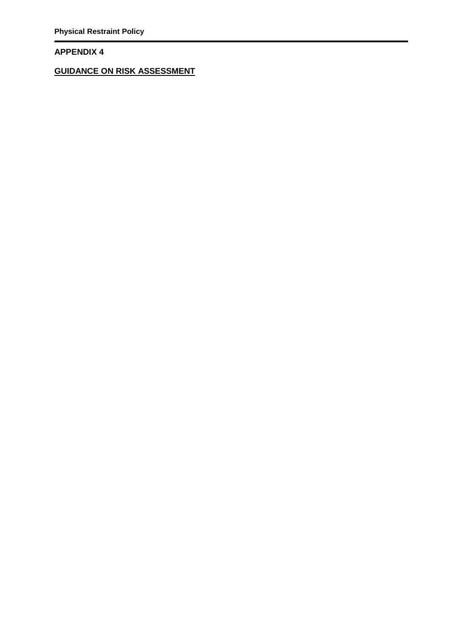# **APPENDIX 4**

**GUIDANCE ON RISK ASSESSMENT**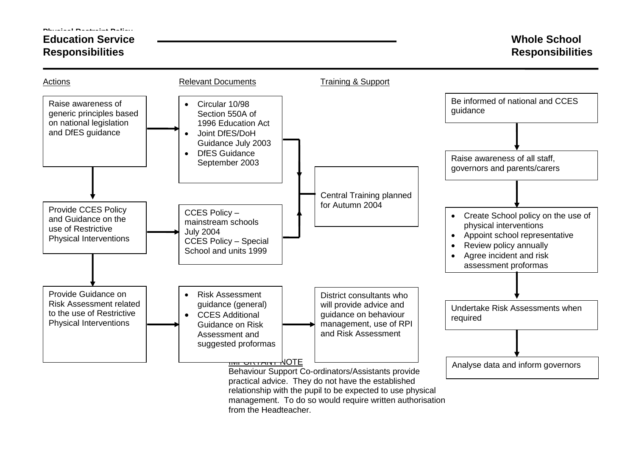#### **Physical Restraint Policy**

# **Education Service Responsibilities**

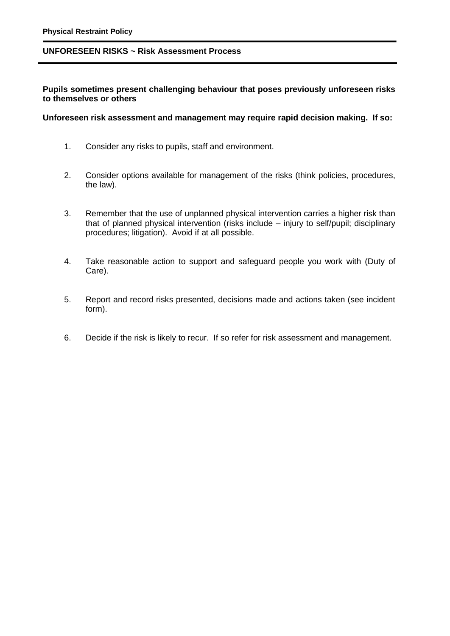#### **UNFORESEEN RISKS ~ Risk Assessment Process**

**Pupils sometimes present challenging behaviour that poses previously unforeseen risks to themselves or others**

#### **Unforeseen risk assessment and management may require rapid decision making. If so:**

- 1. Consider any risks to pupils, staff and environment.
- 2. Consider options available for management of the risks (think policies, procedures, the law).
- 3. Remember that the use of unplanned physical intervention carries a higher risk than that of planned physical intervention (risks include – injury to self/pupil; disciplinary procedures; litigation). Avoid if at all possible.
- 4. Take reasonable action to support and safeguard people you work with (Duty of Care).
- 5. Report and record risks presented, decisions made and actions taken (see incident form).
- 6. Decide if the risk is likely to recur. If so refer for risk assessment and management.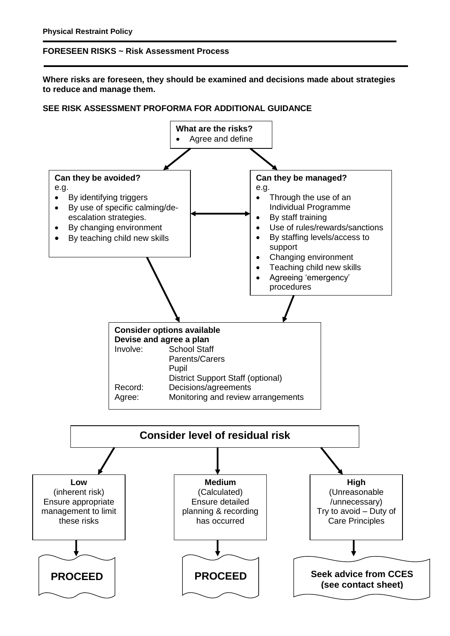# **FORESEEN RISKS ~ Risk Assessment Process**

**Where risks are foreseen, they should be examined and decisions made about strategies to reduce and manage them.**

#### **SEE RISK ASSESSMENT PROFORMA FOR ADDITIONAL GUIDANCE**

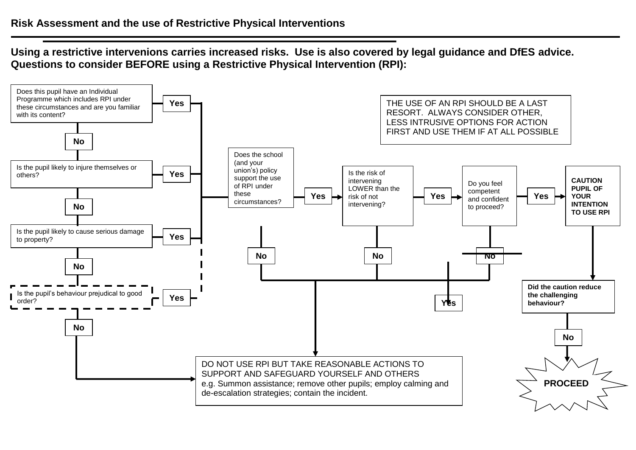**Using a restrictive intervenions carries increased risks. Use is also covered by legal guidance and DfES advice. Questions to consider BEFORE using a Restrictive Physical Intervention (RPI):**

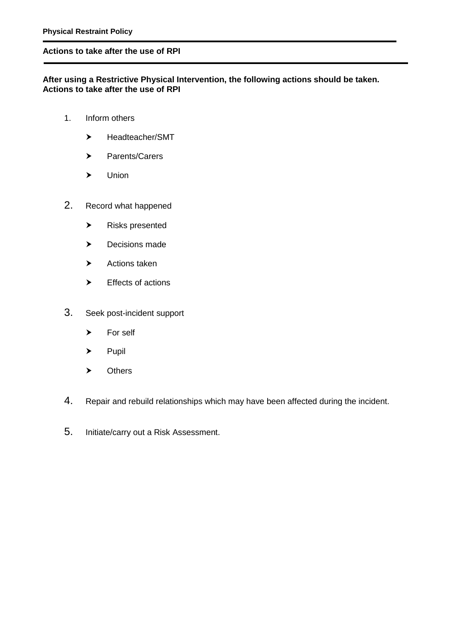#### **Actions to take after the use of RPI**

# **After using a Restrictive Physical Intervention, the following actions should be taken. Actions to take after the use of RPI**

- 1. Inform others
	- > Headteacher/SMT
	- > Parents/Carers
	- Union
- 2. Record what happened
	- Risks presented
	- > Decisions made
	- $\blacktriangleright$  Actions taken
	- Effects of actions
- 3. Seek post-incident support
	- > For self
	- $\blacktriangleright$  Pupil
	- > Others
- 4. Repair and rebuild relationships which may have been affected during the incident.
- 5. Initiate/carry out a Risk Assessment.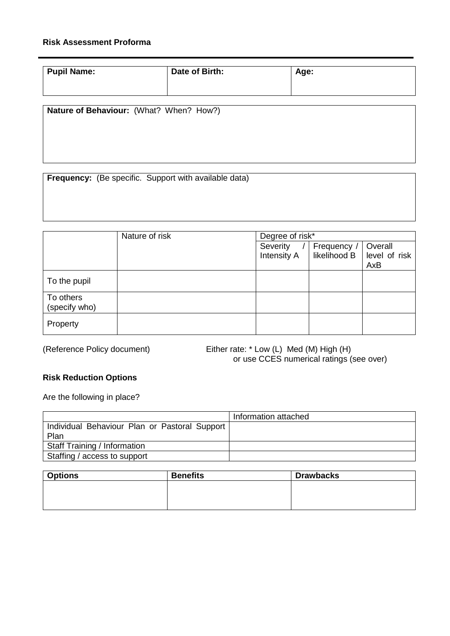# **Risk Assessment Proforma**

| Pupil Name: | Date of Birth: | Age: |
|-------------|----------------|------|
|             |                |      |

**Nature of Behaviour:** (What? When? How?)

**Frequency:** (Be specific. Support with available data)

|                            | Nature of risk | Degree of risk*                |                             |                                 |
|----------------------------|----------------|--------------------------------|-----------------------------|---------------------------------|
|                            |                | Severity<br><b>Intensity A</b> | Frequency /<br>likelihood B | Overall<br>level of risk<br>AxB |
| To the pupil               |                |                                |                             |                                 |
| To others<br>(specify who) |                |                                |                             |                                 |
| Property                   |                |                                |                             |                                 |

(Reference Policy document) Either rate: \* Low (L) Med (M) High (H) or use CCES numerical ratings (see over)

# **Risk Reduction Options**

Are the following in place?

|                                               | Information attached |
|-----------------------------------------------|----------------------|
| Individual Behaviour Plan or Pastoral Support |                      |
| Plan                                          |                      |
| <b>Staff Training / Information</b>           |                      |
| Staffing / access to support                  |                      |

| <b>Options</b> | <b>Benefits</b> | <b>Drawbacks</b> |
|----------------|-----------------|------------------|
|                |                 |                  |
|                |                 |                  |
|                |                 |                  |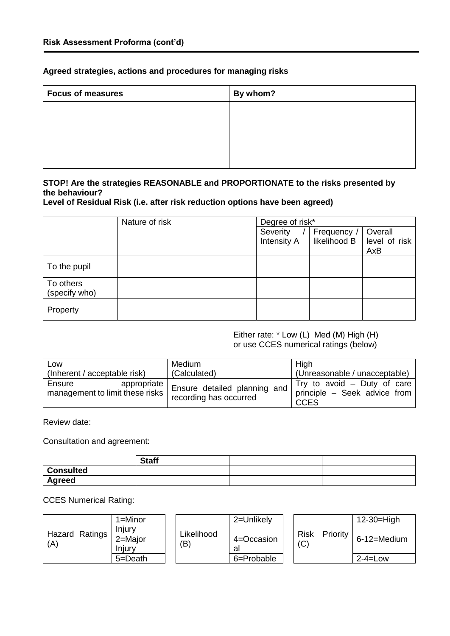# **Agreed strategies, actions and procedures for managing risks**

| By whom? |
|----------|
|          |
|          |
|          |
|          |
|          |

# **STOP! Are the strategies REASONABLE and PROPORTIONATE to the risks presented by the behaviour?**

# **Level of Residual Risk (i.e. after risk reduction options have been agreed)**

|                            | Nature of risk | Degree of risk* |              |               |
|----------------------------|----------------|-----------------|--------------|---------------|
|                            |                | Severity        | Frequency /  | Overall       |
|                            |                | Intensity A     | likelihood B | level of risk |
|                            |                |                 |              | AxB           |
| To the pupil               |                |                 |              |               |
| To others<br>(specify who) |                |                 |              |               |
| Property                   |                |                 |              |               |

#### Either rate: \* Low (L) Med (M) High (H) or use CCES numerical ratings (below)

| Low                                                      | Medium                                                 | High                                                                         |  |
|----------------------------------------------------------|--------------------------------------------------------|------------------------------------------------------------------------------|--|
| (Inherent / acceptable risk)                             | (Calculated)                                           | (Unreasonable / unacceptable)                                                |  |
| Ensure<br>appropriate<br>management to limit these risks | Ensure detailed planning and<br>recording has occurred | Try to avoid $-$ Duty of care<br>principle - Seek advice from<br><b>CCES</b> |  |

Review date:

Consultation and agreement:

|                  | <b>Staff</b> |  |
|------------------|--------------|--|
| <b>Consulted</b> |              |  |
| <b>Agreed</b>    |              |  |

CCES Numerical Rating:

| Hazard Ratings<br>(A) | $1 =$ Minor                 | Likelihood<br>(B) | 2=Unlikely      |                    | Priority | $12-30=High$  |
|-----------------------|-----------------------------|-------------------|-----------------|--------------------|----------|---------------|
|                       | Iniurv<br>2=Major<br>Injury |                   | 4=Occasion<br>a | <b>Risk</b><br>(C) |          | 6-12=Medium   |
|                       | 5=Death                     |                   | 6=Probable      |                    |          | $2 - 4 = Low$ |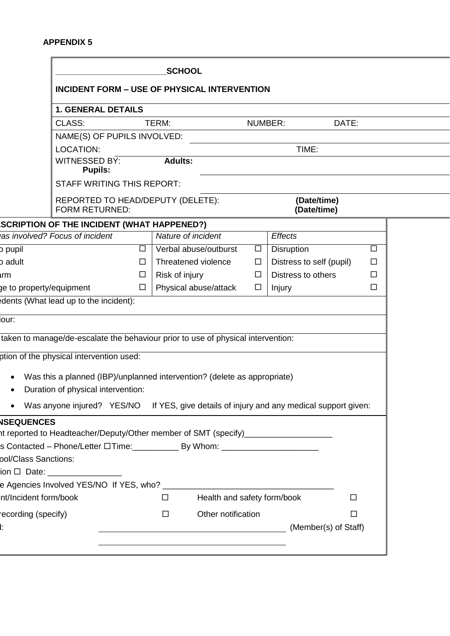|                                                                                                                                                                       |                                   | <b>SCHOOL</b>                                                                            |                |                            |        |
|-----------------------------------------------------------------------------------------------------------------------------------------------------------------------|-----------------------------------|------------------------------------------------------------------------------------------|----------------|----------------------------|--------|
|                                                                                                                                                                       |                                   | <b>INCIDENT FORM - USE OF PHYSICAL INTERVENTION</b>                                      |                |                            |        |
| <b>1. GENERAL DETAILS</b>                                                                                                                                             |                                   |                                                                                          |                |                            |        |
| CLASS:                                                                                                                                                                |                                   | TERM:                                                                                    | <b>NUMBER:</b> | DATE:                      |        |
|                                                                                                                                                                       | NAME(S) OF PUPILS INVOLVED:       |                                                                                          |                |                            |        |
| LOCATION:<br>WITNESSED BY:<br><b>Pupils:</b>                                                                                                                          |                                   | <b>Adults:</b>                                                                           |                | TIME:                      |        |
|                                                                                                                                                                       | <b>STAFF WRITING THIS REPORT:</b> |                                                                                          |                |                            |        |
| <b>FORM RETURNED:</b>                                                                                                                                                 |                                   | REPORTED TO HEAD/DEPUTY (DELETE):                                                        |                | (Date/time)<br>(Date/time) |        |
| <b>SCRIPTION OF THE INCIDENT (WHAT HAPPENED?)</b>                                                                                                                     |                                   |                                                                                          |                |                            |        |
| as involved? Focus of incident                                                                                                                                        |                                   | Nature of incident                                                                       |                | <b>Effects</b>             |        |
| b pupil                                                                                                                                                               | $\Box$                            | Verbal abuse/outburst                                                                    | $\Box$         | <b>Disruption</b>          | $\Box$ |
| b adult                                                                                                                                                               | □                                 | Threatened violence                                                                      | $\Box$         | Distress to self (pupil)   | □      |
| arm                                                                                                                                                                   | ப                                 | Risk of injury                                                                           | □              | Distress to others         | $\Box$ |
| ge to property/equipment                                                                                                                                              | □                                 | Physical abuse/attack                                                                    | □              | Injury                     | □      |
| edents (What lead up to the incident):                                                                                                                                |                                   |                                                                                          |                |                            |        |
| lour:                                                                                                                                                                 |                                   |                                                                                          |                |                            |        |
| taken to manage/de-escalate the behaviour prior to use of physical intervention:                                                                                      |                                   |                                                                                          |                |                            |        |
|                                                                                                                                                                       |                                   |                                                                                          |                |                            |        |
| ption of the physical intervention used:                                                                                                                              |                                   |                                                                                          |                |                            |        |
|                                                                                                                                                                       |                                   | Was this a planned (IBP)/unplanned intervention? (delete as appropriate)                 |                |                            |        |
| Duration of physical intervention:                                                                                                                                    |                                   |                                                                                          |                |                            |        |
|                                                                                                                                                                       |                                   | Was anyone injured? YES/NO If YES, give details of injury and any medical support given: |                |                            |        |
| <b>NSEQUENCES</b>                                                                                                                                                     |                                   |                                                                                          |                |                            |        |
| ht reported to Headteacher/Deputy/Other member of SMT (specify)__________________<br>s Contacted – Phone/Letter □ Time: ______________ By Whom: _____________________ |                                   |                                                                                          |                |                            |        |
| pol/Class Sanctions:                                                                                                                                                  |                                   |                                                                                          |                |                            |        |
| ion □ Date: _________________                                                                                                                                         |                                   |                                                                                          |                |                            |        |
|                                                                                                                                                                       |                                   |                                                                                          |                |                            |        |
| nt/Incident form/book                                                                                                                                                 |                                   | Health and safety form/book<br>$\Box$                                                    |                | $\Box$                     |        |
| recording (specify)                                                                                                                                                   |                                   | Other notification<br>□                                                                  |                | $\Box$                     |        |
|                                                                                                                                                                       |                                   |                                                                                          |                |                            |        |
|                                                                                                                                                                       |                                   | (Member(s) of Staff)                                                                     |                |                            |        |
|                                                                                                                                                                       |                                   |                                                                                          |                |                            |        |